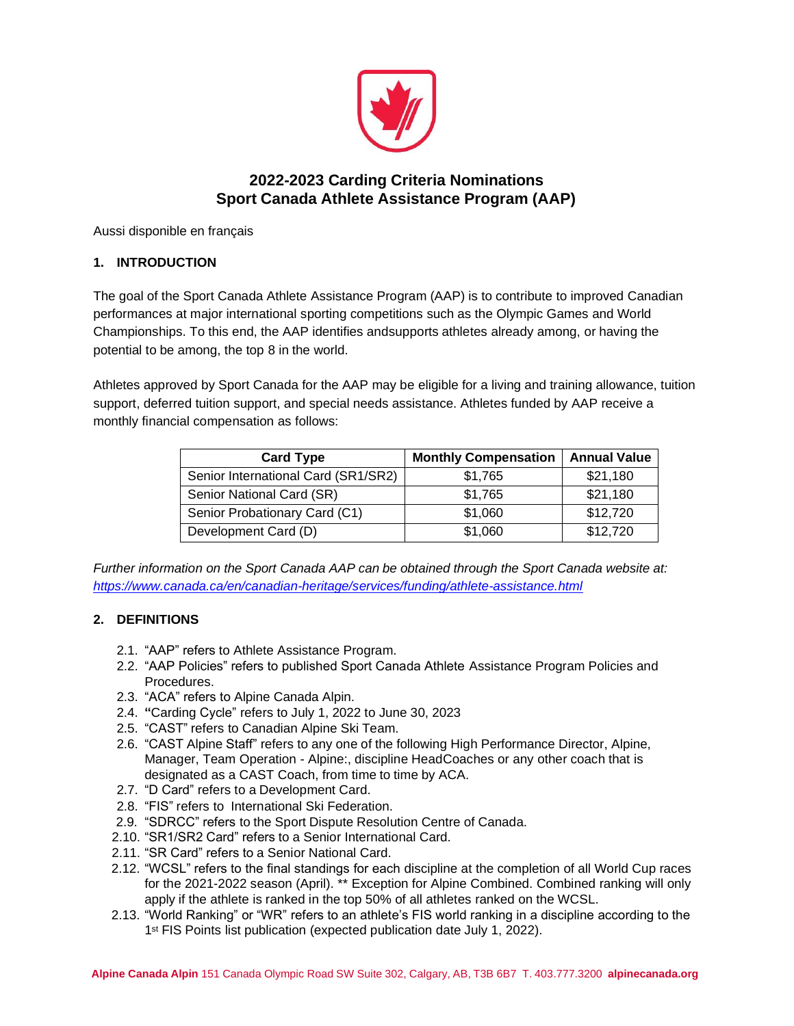

# **2022-2023 Carding Criteria Nominations Sport Canada Athlete Assistance Program (AAP)**

Aussi disponible en français

# **1. INTRODUCTION**

The goal of the Sport Canada Athlete Assistance Program (AAP) is to contribute to improved Canadian performances at major international sporting competitions such as the Olympic Games and World Championships. To this end, the AAP identifies andsupports athletes already among, or having the potential to be among, the top 8 in the world.

Athletes approved by Sport Canada for the AAP may be eligible for a living and training allowance, tuition support, deferred tuition support, and special needs assistance. Athletes funded by AAP receive a monthly financial compensation as follows:

| <b>Card Type</b>                    | <b>Monthly Compensation</b> | <b>Annual Value</b> |
|-------------------------------------|-----------------------------|---------------------|
| Senior International Card (SR1/SR2) | \$1,765                     | \$21,180            |
| Senior National Card (SR)           | \$1,765                     | \$21,180            |
| Senior Probationary Card (C1)       | \$1,060                     | \$12,720            |
| Development Card (D)                | \$1,060                     | \$12,720            |

*Further information on the Sport Canada AAP can be obtained through the Sport Canada website at: https:/[/www.canada.ca/en/canadian-heritage/services/funding/athlete-assistance.html](http://www.canada.ca/en/canadian-heritage/services/funding/athlete-assistance.html)*

## **2. DEFINITIONS**

- 2.1. "AAP" refers to Athlete Assistance Program.
- 2.2. "AAP Policies" refers to published Sport Canada Athlete Assistance Program Policies and Procedures.
- 2.3. "ACA" refers to Alpine Canada Alpin.
- 2.4. **"**Carding Cycle" refers to July 1, 2022 to June 30, 2023
- 2.5. "CAST" refers to Canadian Alpine Ski Team.
- 2.6. "CAST Alpine Staff" refers to any one of the following High Performance Director, Alpine, Manager, Team Operation - Alpine:, discipline HeadCoaches or any other coach that is designated as a CAST Coach, from time to time by ACA.
- 2.7. "D Card" refers to a Development Card.
- 2.8. "FIS" refers to International Ski Federation.
- 2.9. "SDRCC" refers to the Sport Dispute Resolution Centre of Canada.
- 2.10. "SR1/SR2 Card" refers to a Senior International Card.
- 2.11. "SR Card" refers to a Senior National Card.
- 2.12. "WCSL" refers to the final standings for each discipline at the completion of all World Cup races for the 2021-2022 season (April). \*\* Exception for Alpine Combined. Combined ranking will only apply if the athlete is ranked in the top 50% of all athletes ranked on the WCSL.
- 2.13. "World Ranking" or "WR" refers to an athlete's FIS world ranking in a discipline according to the 1<sup>st</sup> FIS Points list publication (expected publication date July 1, 2022).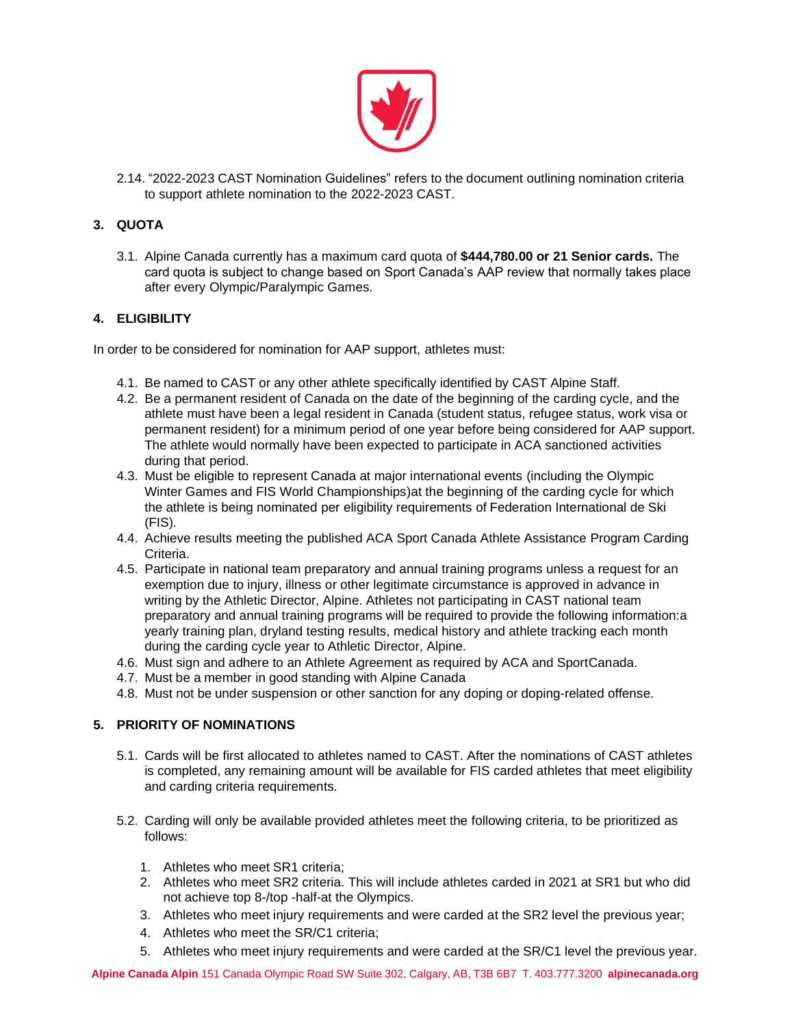

2.14. "2022-2023 CAST Nomination Guidelines" refers to the document outlining nomination criteria to support athlete nomination to the 2022-2023 CAST.

## **3. QUOTA**

3.1. Alpine Canada currently has a maximum card quota of **\$444,780.00 or 21 Senior cards.** The card quota is subject to change based on Sport Canada's AAP review that normally takes place after every Olympic/Paralympic Games.

# **4. ELIGIBILITY**

In order to be considered for nomination for AAP support, athletes must:

- 4.1. Be named to CAST or any other athlete specifically identified by CAST Alpine Staff.
- 4.2. Be a permanent resident of Canada on the date of the beginning of the carding cycle, and the athlete must have been a legal resident in Canada (student status, refugee status, work visa or permanent resident) for a minimum period of one year before being considered for AAP support. The athlete would normally have been expected to participate in ACA sanctioned activities during that period.
- 4.3. Must be eligible to represent Canada at major international events (including the Olympic Winter Games and FIS World Championships)at the beginning of the carding cycle for which the athlete is being nominated per eligibility requirements of Federation International de Ski (FIS).
- 4.4. Achieve results meeting the published ACA Sport Canada Athlete Assistance Program Carding **Criteria**
- 4.5. Participate in national team preparatory and annual training programs unless a request for an exemption due to injury, illness or other legitimate circumstance is approved in advance in writing by the Athletic Director, Alpine. Athletes not participating in CAST national team preparatory and annual training programs will be required to provide the following information:a yearly training plan, dryland testing results, medical history and athlete tracking each month during the carding cycle year to Athletic Director, Alpine.
- 4.6. Must sign and adhere to an Athlete Agreement as required by ACA and SportCanada.
- 4.7. Must be a member in good standing with Alpine Canada
- 4.8. Must not be under suspension or other sanction for any doping or doping-related offense.

## **5. PRIORITY OF NOMINATIONS**

- 5.1. Cards will be first allocated to athletes named to CAST. After the nominations of CAST athletes is completed, any remaining amount will be available for FIS carded athletes that meet eligibility and carding criteria requirements.
- 5.2. Carding will only be available provided athletes meet the following criteria, to be prioritized as follows:
	- 1. Athletes who meet SR1 criteria;
	- 2. Athletes who meet SR2 criteria. This will include athletes carded in 2021 at SR1 but who did not achieve top 8-/top -half-at the Olympics.
	- 3. Athletes who meet injury requirements and were carded at the SR2 level the previous year;
	- 4. Athletes who meet the SR/C1 criteria;
	- 5. Athletes who meet injury requirements and were carded at the SR/C1 level the previous year.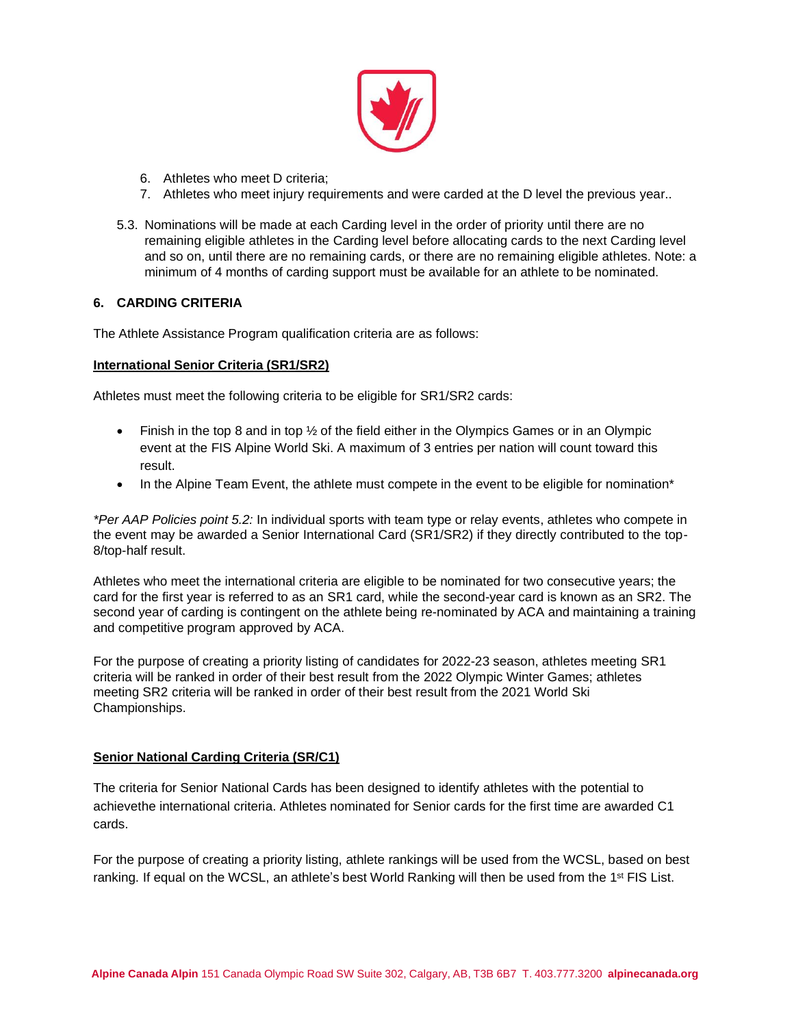

- 6. Athletes who meet D criteria;
- 7. Athletes who meet injury requirements and were carded at the D level the previous year..
- 5.3. Nominations will be made at each Carding level in the order of priority until there are no remaining eligible athletes in the Carding level before allocating cards to the next Carding level and so on, until there are no remaining cards, or there are no remaining eligible athletes. Note: a minimum of 4 months of carding support must be available for an athlete to be nominated.

## **6. CARDING CRITERIA**

The Athlete Assistance Program qualification criteria are as follows:

## **International Senior Criteria (SR1/SR2)**

Athletes must meet the following criteria to be eligible for SR1/SR2 cards:

- Finish in the top 8 and in top  $\frac{1}{2}$  of the field either in the Olympics Games or in an Olympic event at the FIS Alpine World Ski. A maximum of 3 entries per nation will count toward this result.
- In the Alpine Team Event, the athlete must compete in the event to be eligible for nomination\*

*\*Per AAP Policies point 5.2:* In individual sports with team type or relay events, athletes who compete in the event may be awarded a Senior International Card (SR1/SR2) if they directly contributed to the top-8/top-half result.

Athletes who meet the international criteria are eligible to be nominated for two consecutive years; the card for the first year is referred to as an SR1 card, while the second-year card is known as an SR2. The second year of carding is contingent on the athlete being re-nominated by ACA and maintaining a training and competitive program approved by ACA.

For the purpose of creating a priority listing of candidates for 2022-23 season, athletes meeting SR1 criteria will be ranked in order of their best result from the 2022 Olympic Winter Games; athletes meeting SR2 criteria will be ranked in order of their best result from the 2021 World Ski Championships.

#### **Senior National Carding Criteria (SR/C1)**

The criteria for Senior National Cards has been designed to identify athletes with the potential to achievethe international criteria. Athletes nominated for Senior cards for the first time are awarded C1 cards.

For the purpose of creating a priority listing, athlete rankings will be used from the WCSL, based on best ranking. If equal on the WCSL, an athlete's best World Ranking will then be used from the 1<sup>st</sup> FIS List.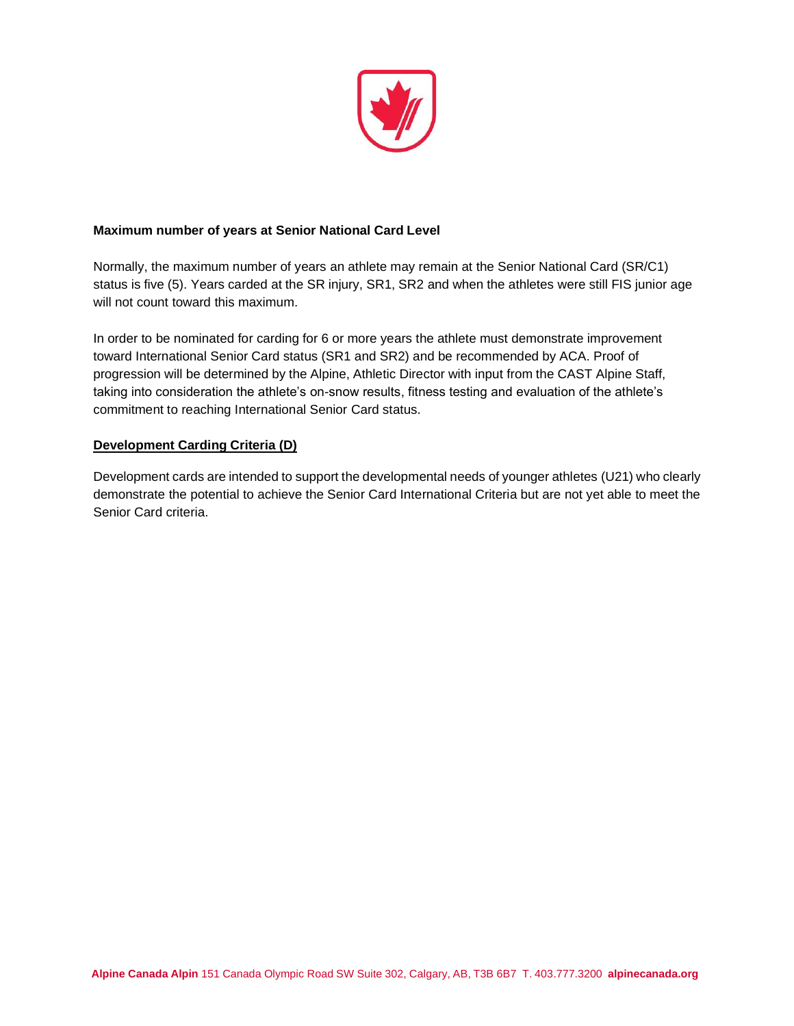

## **Maximum number of years at Senior National Card Level**

Normally, the maximum number of years an athlete may remain at the Senior National Card (SR/C1) status is five (5). Years carded at the SR injury, SR1, SR2 and when the athletes were still FIS junior age will not count toward this maximum.

In order to be nominated for carding for 6 or more years the athlete must demonstrate improvement toward International Senior Card status (SR1 and SR2) and be recommended by ACA. Proof of progression will be determined by the Alpine, Athletic Director with input from the CAST Alpine Staff, taking into consideration the athlete's on-snow results, fitness testing and evaluation of the athlete's commitment to reaching International Senior Card status.

## **Development Carding Criteria (D)**

Development cards are intended to support the developmental needs of younger athletes (U21) who clearly demonstrate the potential to achieve the Senior Card International Criteria but are not yet able to meet the Senior Card criteria.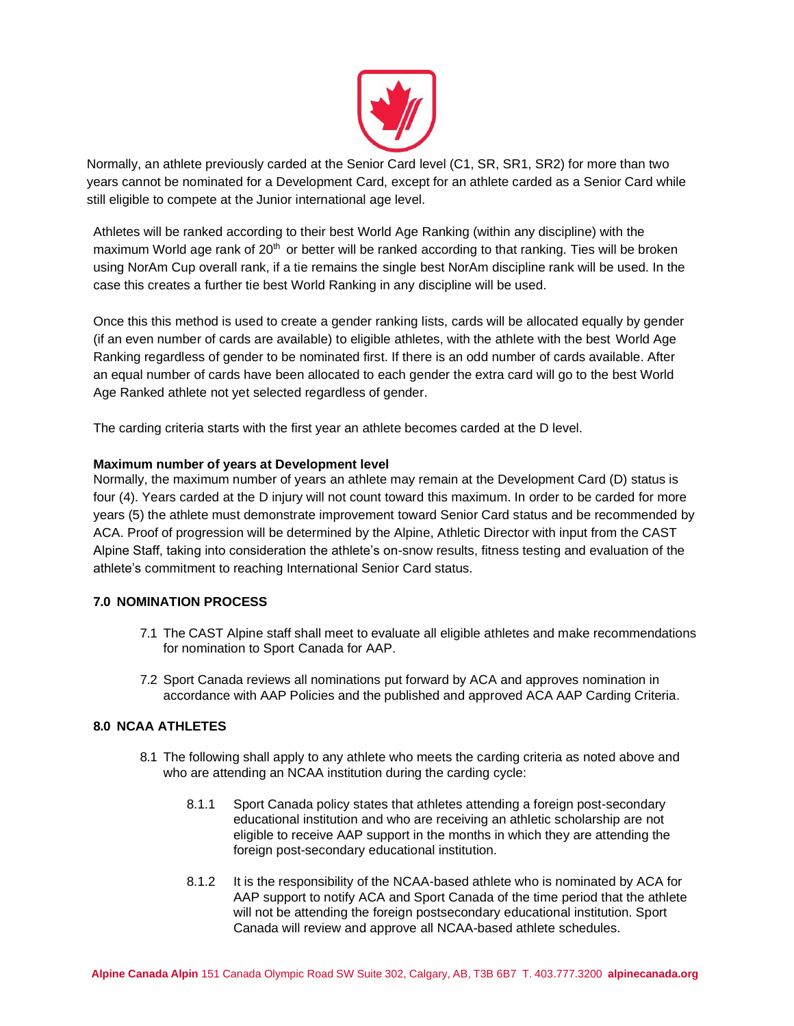

Normally, an athlete previously carded at the Senior Card level (C1, SR, SR1, SR2) for more than two years cannot be nominated for a Development Card, except for an athlete carded as a Senior Card while still eligible to compete at the Junior international age level.

Athletes will be ranked according to their best World Age Ranking (within any discipline) with the maximum World age rank of  $20<sup>th</sup>$  or better will be ranked according to that ranking. Ties will be broken using NorAm Cup overall rank, if a tie remains the single best NorAm discipline rank will be used. In the case this creates a further tie best World Ranking in any discipline will be used.

Once this this method is used to create a gender ranking lists, cards will be allocated equally by gender (if an even number of cards are available) to eligible athletes, with the athlete with the best World Age Ranking regardless of gender to be nominated first. If there is an odd number of cards available. After an equal number of cards have been allocated to each gender the extra card will go to the best World Age Ranked athlete not yet selected regardless of gender.

The carding criteria starts with the first year an athlete becomes carded at the D level.

## **Maximum number of years at Development level**

Normally, the maximum number of years an athlete may remain at the Development Card (D) status is four (4). Years carded at the D injury will not count toward this maximum. In order to be carded for more years (5) the athlete must demonstrate improvement toward Senior Card status and be recommended by ACA. Proof of progression will be determined by the Alpine, Athletic Director with input from the CAST Alpine Staff, taking into consideration the athlete's on-snow results, fitness testing and evaluation of the athlete's commitment to reaching International Senior Card status.

## **7.0 NOMINATION PROCESS**

- 7.1 The CAST Alpine staff shall meet to evaluate all eligible athletes and make recommendations for nomination to Sport Canada for AAP.
- 7.2 Sport Canada reviews all nominations put forward by ACA and approves nomination in accordance with AAP Policies and the published and approved ACA AAP Carding Criteria.

## **8.0 NCAA ATHLETES**

- 8.1 The following shall apply to any athlete who meets the carding criteria as noted above and who are attending an NCAA institution during the carding cycle:
	- 8.1.1 Sport Canada policy states that athletes attending a foreign post-secondary educational institution and who are receiving an athletic scholarship are not eligible to receive AAP support in the months in which they are attending the foreign post-secondary educational institution.
	- 8.1.2 It is the responsibility of the NCAA-based athlete who is nominated by ACA for AAP support to notify ACA and Sport Canada of the time period that the athlete will not be attending the foreign postsecondary educational institution. Sport Canada will review and approve all NCAA-based athlete schedules.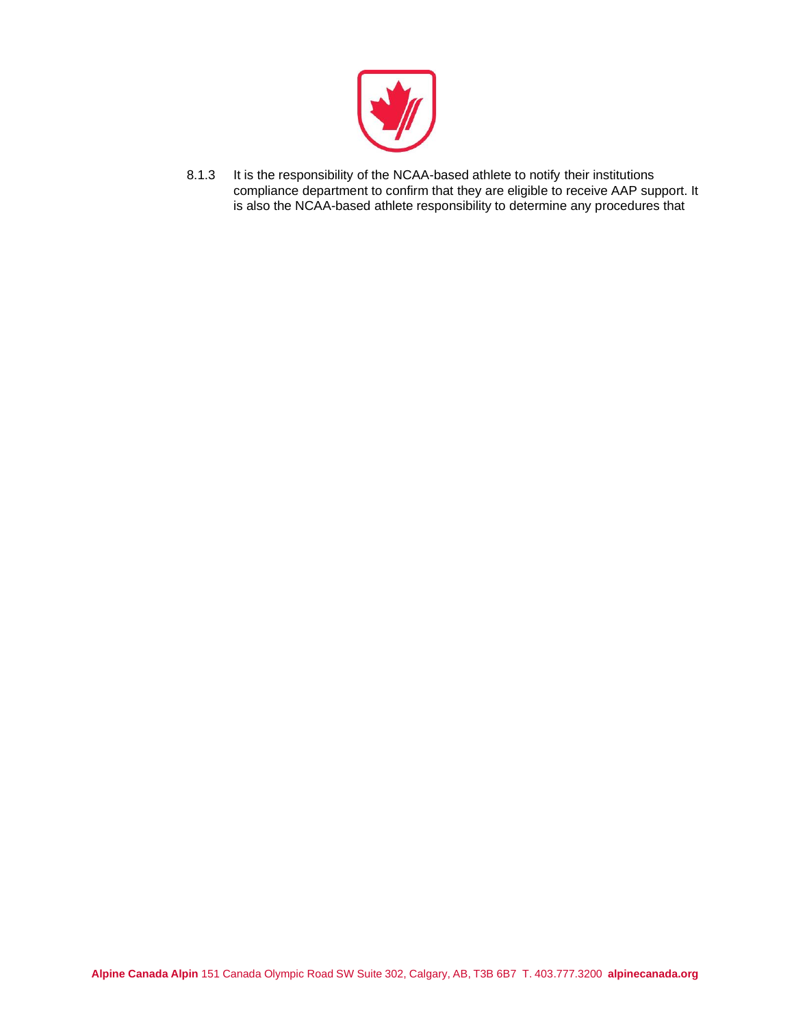

8.1.3 It is the responsibility of the NCAA-based athlete to notify their institutions compliance department to confirm that they are eligible to receive AAP support. It is also the NCAA-based athlete responsibility to determine any procedures that